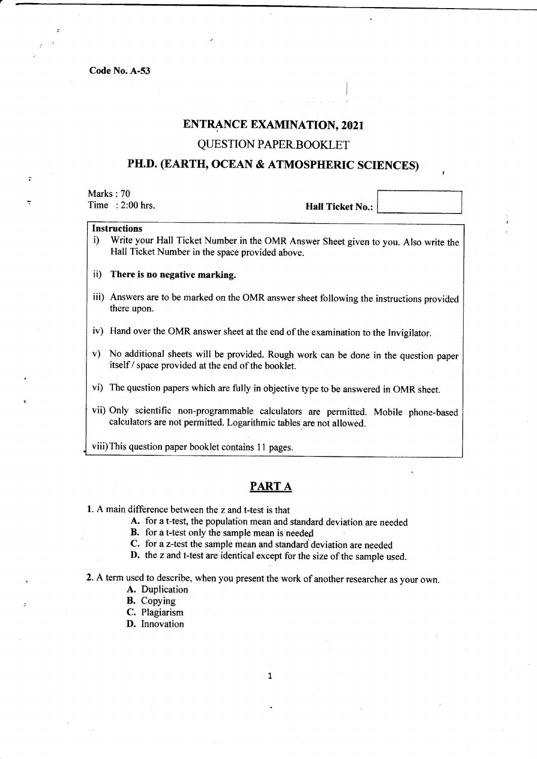## ENTRANCE EXAMINATION, 2O2t

## QUESTION PAPER BOOKLET

# PH.D. (EARTH, OCEAN & ATMOSPHERIC SCIENCES)

Marks : 70

Time : 2:00 hrs. Hall Ticket No.:

### Instructions

- i) Write your Hall Ticket Number in the OMR Answer Sheet given to you. Also write the Hall Ticket Number in the space provided above.
- ii) There is no negative marking.
- iii) Answers are to be marked on the OMR answer sheet following the instructions provided there upon.
- iv) Hand over the OMR answer sheet at the end of the examination to the Invigilator.
- v) No additional sheets will be provided. Rough work can be done in the question paper itself / space provided at the end of the booklet.
- vi) The question papers which are fully in objective type to be answered in OMR sheet.
- vii) Only scientific non-programmable calculators are permitted. Mobile phone-based calculators are not permitted. Logarithmic tables are not allowed.

viii)This question paper booklet contains I I pages.

## PART A

- l. A main difference between the z and t-test is that
	- A. for a t-test, the population mean and standard deviation are needed
	- B. for a t-test only the sample mean is needed
	- C. for a z-test the sample mean and standard deviation are needed
	- D. the z and t-test are identical except for the size of the sample used.

2. A term used to describe, when you present the work of another researcher as your own.

- A. Duplication
- B. Copying
- C. Plagiarism
- D. Innovation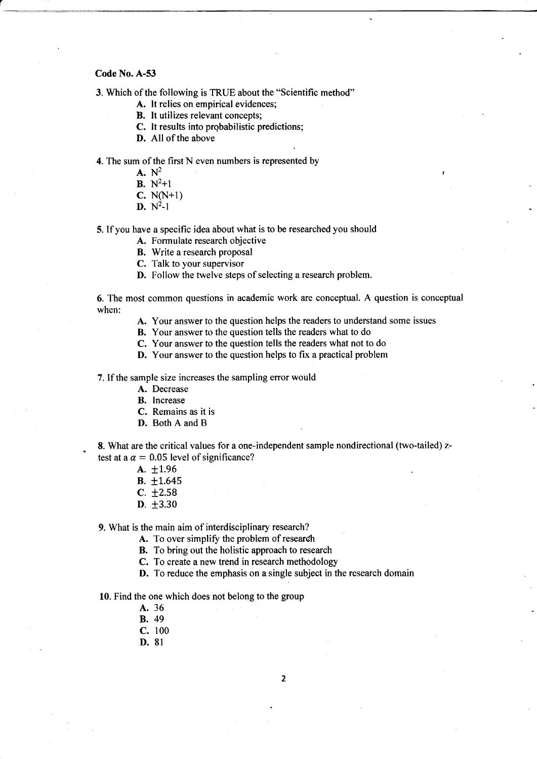3. Which of the following is TRUE about the "Scientific method"

- A. It relies on empirical evidences;
- **B.** It utilizes relevant concepts;
- C. It results into probabilistic predictions;
- D. All of the above

4. The sum of the first N even numbers is represented by

- $A. N^2$
- **B.**  $N^2+1$
- c. N(N+1)
- $D. N^2-1$

5. If you have a specific idea about what is to be researched you should

- A. Formulate research objective
- B. Write a research proposal
- C. Talk to your supervisor
- D. Follow the twelve steps of selecting a research problem.

6. The most common questions in academic work are conceptual. A question is conceptual when:

A. Your answer to the question helps the readers to understand some issues

B. Your answer to the question tells the readers what to do

- C. Your answer to the question tells the readers what not to do
- D. Your answer to the question helps to fix a practical problem

7. If the sample size increases the sampling eror would

- A. Decrease
- B. Increase
- C. Remains as it is
- D. Both A and B

8. What are the critical values for a one-independent sample nondirectional (two-tailed) ztest at a  $\alpha = 0.05$  level of significance?

- $A. \pm 1.96$
- $B. \pm 1.645$
- $C. \pm 2.58$
- **D.**  $\pm 3.30$

9. What is the main aim of interdisciplinary research?

A. To over simplify the problem of research

- B. To bring out the holistic approach to research
- C. To create a new trend in research methodology
- D. To reduce the emphasis on a single subject in the research domain

10. Find the one which does not belong to the group

- A. 36
- B. 49
- c. <sup>100</sup>
- D. 8l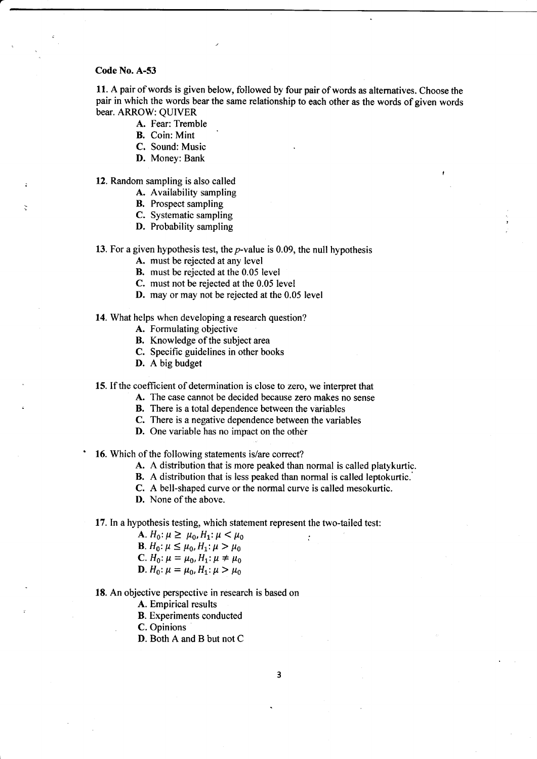11. A pair of words is given below, followed by four pair of words as alternatives. Choose the pair in which the words bear the same relationship to each other as the words of given words bear. ARROW: QUIVER

A. Fear: Tremble

- B. Coin: Mint
- C. Sound: Music
- D. Money: Bank

12. Random sampling is also called

- A. Availability sampling
- B. Prospect sampling
- C. Systematic sampling
- D. Probability sampling

13. For a given hypothesis test, the  $p$ -value is 0.09, the null hypothesis

- A. must be rejected at any level
- B. must be rejected at the 0.05 level
- C. must not be rejected at the 0.05 level
- D. may or may not be rejected at the 0.05 level

#### 14. What helps when developing a research question?

- A. Formulating objective
- B. Knowledge of the subject area
- C. Specific guidelines in other books
- D. A big budget

15. tf the coefficient of determination is close to zero, we interpret that

- A. The case cannot be decided because zero makes no sense
- B. There is a total dependence between the variables
- C. There is a negative dependence between the variables
- D. One variable has no impact on the other

16. Which of the following statements is/are correct?

- A. A distribution that is more peaked than normal is called platykurtic.
- B. A distribution that is less peaked than normal is called leptokurtic.'
- C. A bell-shaped curve or the normal curve is called mesokurtic,
- D. None of the above.

17. In a hypothesis testing, which statement represent the two-tailed test:

A.  $H_0: \mu \geq \mu_0, H_1: \mu < \mu_0$ **B**.  $H_0: \mu \leq \mu_0, H_1: \mu > \mu_0$ C.  $H_0: \mu = \mu_0, H_1: \mu \neq \mu_0$ **D**.  $H_0: \mu = \mu_0, H_1: \mu > \mu_0$ 

18. An objective perspective in research is based on

A. Empirical results

B. Experiments conducted

C. Opinions

D. Both A and B but not C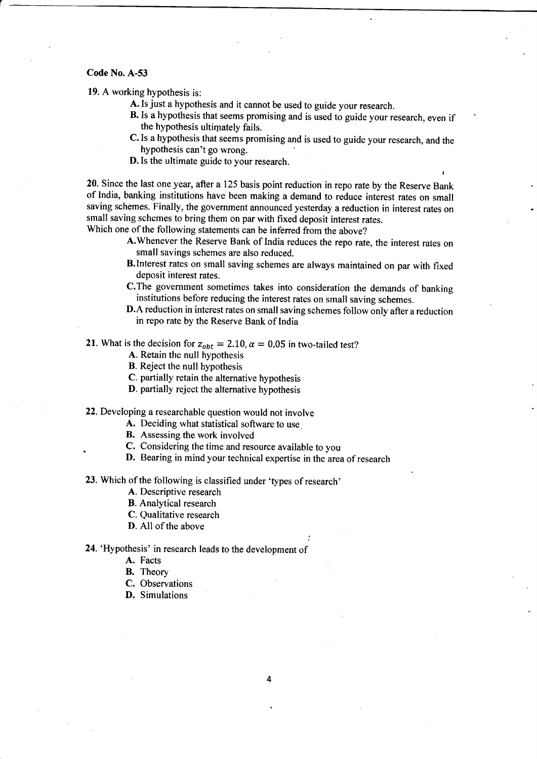19. A working hypothesis is:

- A. Is just a hypothesis and it cannot be used to guide your research.
- B. Is a hypothesis that seems promising and is used to guide your research, even if the hypothesis ultimately fails.
- C. Is a hypothesis that seems promising and is used to guide your research, and the hypothesis can't go wrong.
- D.Is the ultimate guide to your research.

20. Since the last one year, after a 125 basis point reduction in repo rate by the Reserve Bank of India, banking institutions have been making a demand to reduce interest rates on small saving schemes. Finally, the government announced yesterday a reduction in interest rates on small saving schemes to bring them on par with fixed deposit interest rates. Which one of the following statements can be inferred from the above?

- A.Whenever the Reserve Bank of India reduces the repo rate, the interest rates on small savings schemes are also reduced.
- B.lnterest rates on small saving schemes are always maintained on par with fixed deposit interest rates.
- C.The government sometimes takes into consideration the demands of banking institutions before reducing the interest rates on small saving schemes.
- D.A reduction in interest rates on small saving schemes follow only after a reduction in repo rate by the Reserve Bank of India

i

21. What is the decision for  $z_{obt} = 2.10$ ,  $\alpha = 0.05$  in two-tailed test?

- A. Retain the null hypothesis
- B. Reject the null hypothesis
- C. partially retain the alternative hypothesis
- D. partially reject the alternative hypothesis

22. Developing a researchable question would not involve

- A. Deciding what statistical software to use.
- B. Assessing the work involved
- C. Considering the time and resource available to you
- D. Bearing in mind your technical expertise in the area of research

23. Which of the following is classified under 'types of research'

A. Descriptive research

B. Analytical research

- C. Qualitative research
- D. All of the above

24. 'Hypothesis' in research leads to the development of

- A. Facts
- B. Theory
- C. Observations
- D. Simulations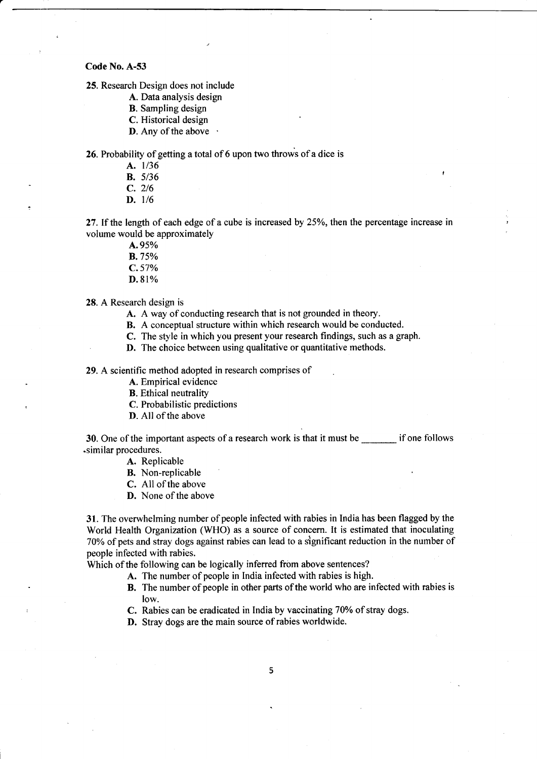25. Research Design does not include

- A. Data analysis design
- B. Sampling design
- C. Historical design
- **D.** Any of the above  $\cdot$

26. Probability of getting a total of 6 upon two throws of a dice is

- A. 1/36
- B. 5/36
- c. <sup>216</sup>
- $D. 1/6$

27. If the length of each edge of a cube is increased by  $25%$ , then the percentage increase in volume would be approximately

- A.9s% **B.** 75%  $C.57%$
- D.81%

28. A Research design is

A. A way of conducting research that is not grounded in theory.

B. A conceptual structure within which research would be conducted.

C. The style in which you present your research findings, such as a graph.

D. The choice between using qualitative or quantitative methods.

29. A scientific method adopted in research comprises of

A. Empirical evidence

B. Ethical neutrality

C. Probabilistic predictions

D. All of the above

30. One of the important aspects of a research work is that it must be \_\_\_\_\_\_\_ if one follows .similar procedures.

A. Replicable

B. Non-replicable

C. Allof the above

D. None of the above

31. The overwhelming number of people infected with rabies in India has been flagged by the World Health Organization (WHO) as a source of concem. It is estimated that inoculating 70% of pets and stray dogs against rabies can lead to a significant reduction in the number of people infected with rabies.

Which of the following can be logically inferred from above sentences?

- A. The number of people in India infected with rabies is high.
- B. The number of people in other parts of the world who are infected with rabies is low.

C. Rabies can be eradicated in India by vaccinating 70% of stray dogs.

D. Stray dogs are the main source of rabies worldwide.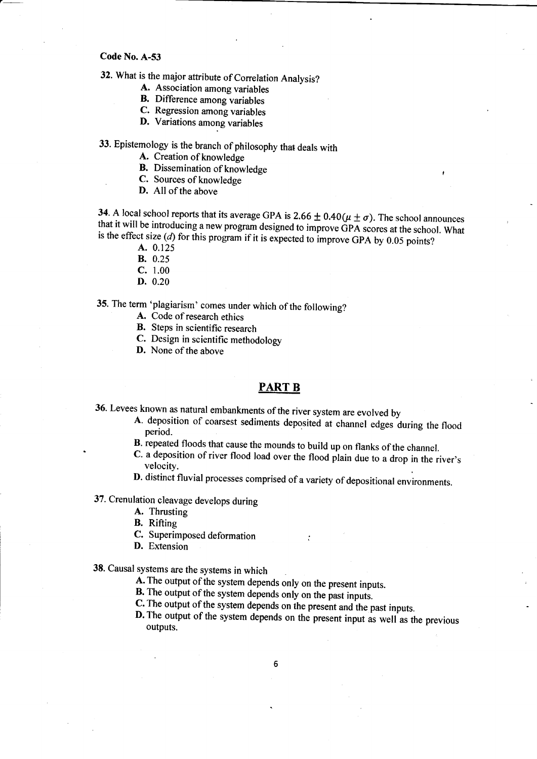# 32. What is the major attribute of Correlation Analysis?

- A. Association among variables
- B. Difference among variables
- C. Regression among variables
- D. Variations among variables

# 33. Epistemology is the branch of philosophy that deals with

A. Creation of knowledge

- **B.** Dissemination of knowledge
- C. Sources of knowledge
- D. All of the above

**34**. A local school reports that its average GPA is  $2.66 \pm 0.40(\mu \pm \sigma)$ . The school announces that it will be introducing a new program designed to improve GPA scores at the school. What is the effect size (*d*) for thi is the effect size (d) for this program if it is expected to improve GPA by 0.05 points?<br>A.  $0.125$ 

- 
- B. 0.25
- c. 1.00
- D. 0.20

35. The term 'plagiarism' comes under which of the following?

- A. Code of research ethics
- B. Steps in scientific research
- C. Design in scientific methodology
- D. None of the above

### PART B

- 36. Levees known as natural embankments of the river system are evolved by<br> **A.** deposition of coarsest sediments deposited at channel edges during the flood<br>
period.<br> **B.** repeated floods that cause the mounds to build up
	-
	- C. a deposition of river flood load over the flood plain due to a drop in the river's velocity.
	- D. distinct fluvial processes comprised of a variety of depositional environments.

37. Crenulation cleavage develops during

- A. Thrusting
- B. Rifting
- C. Superimposed deformation
- D. Extension

38. Causal systems are the systems in which

- A. The output of the system depends only on the present inputs.
- 
- **B.** The output of the system depends only on the past inputs.<br>**C.** The output of the system depends on the present and the past inputs.
- **D.** The output of the system depends on the present input as well as the previous outputs.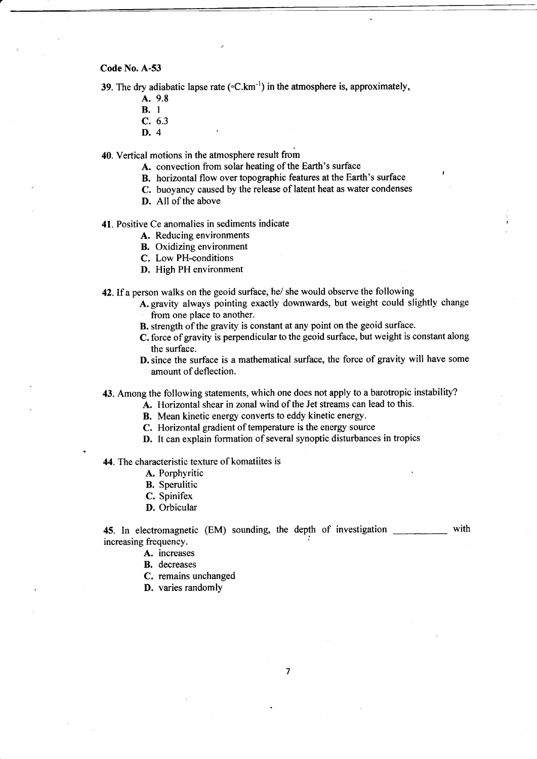39. The dry adiabatic lapse rate ( $\rm{cC,km^{-1}}$ ) in the atmosphere is, approximately,

- A. 9.8
- B. I
- c. 6.3
- D. 4

40. Vertical motions in the atmosphere result from

- A. convection from solar heating of the Earth's surface
- B. horizontal flow over topographic features at the Earth's surface
- C. buoyancy caused by the release of latent heat as water condenses
- D. All of the above

41. Positive Ce anomalies in sediments indicate

- A. Reducing environments
- B. Oxidizing environment
- C. Low PH-conditions
- D. High PH environment

42.If aperson walks on the geoid surface, he/ she would observe the following

- A. gravity always pointing exactly downwards, but weight could slightly change from one place to another.
- B. strength of the gravity is constant at any point on the geoid surface.
- C. force of gravity is perpendicular to the geoid surface, but weight is constant along the surface.
- D. since the surface is a mathematical surface, the force of gravity will have some amount of deflection.

43. Among the following statements, which one does not apply to a barotropic instability?

- A. Horizontal shear in zonal wind of the Jet streams can lead to this.
- B. Mean kinetic energy converts to eddy kinetic energy.
- C. Horizontal gradient of temperature is the energy source
- D. It can explain formation of several synoptic disturbances in tropics

44. The characteristic texture of komatiites is

- A. Porphyritic
- B. Sperulitic
- C. Spinifex
- D. Orbicular

45. In electromagnetic (EM) sounding, the depth of investigation with increasing frequency.

- A. increases
	- B. decreases
	- C. remains unchanged
	- D. varies randomly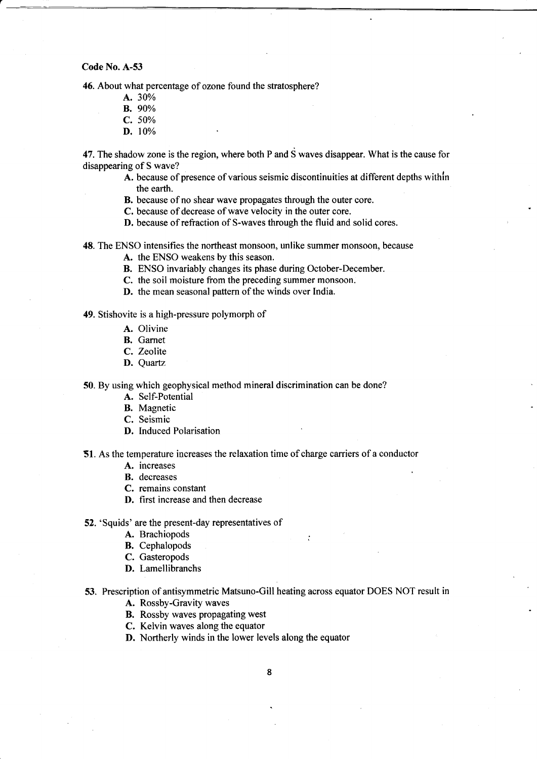46. About what percentage of ozone found the stratosphere?

- A. 30%
- B. 90%
- c. 50%
- D. 10%

47. The shadow zone is the region, where both P and  $\dot{S}$  waves disappear. What is the cause for disappearing of S wave?

- A. because of presence of various seismic discontinuities at different depths withln the earth.
- B. because of no shear wave propagates through the outer core.
- C. because of decrease of wave velocity in the outer core.
- D. because of refraction of S-waves through the fluid and solid cores.

48. The ENSO intensifies the northeast monsoon, unlike summer monsoon, because

- A. the ENSO weakens by this season.
- B. ENSO invariably changes its phase during October-December.
- C. the soil moisture from the preceding summer monsoon.
- D. the mean seasonal pattern of the winds over India.

49. Stishovite is a high-pressure polymorph of

- A. Olivine
- B. Garnet
- C. Zeolite
- D. Quartz

50. By using which geophysical method mineral discrimination can be done?

- A. Self-Potential
- B. Magnetic
- C. Seismic
- D. Induced Polarisation

51. As the temperature increases the relaxation time of charge carriers of a conductor

- A. increases
- B. decreases
- C. remains constant
- D. first increase and then decrease
- 52. 'Squids' are the present-day representatives of
	- A. Brachiopods
	- B. Cephalopods
	- C. Gasteropods
	- D. Lamellibranchs
- 53. Prescription of antisymmetric Matsuno-Gill heating across equator DOES NOT result in

A. Rossby-Gravity waves

- B. Rossby waves propagating west
- C. Kelvin waves along the equator
- D. Northerly winds in the lower levels along the equator
	- 8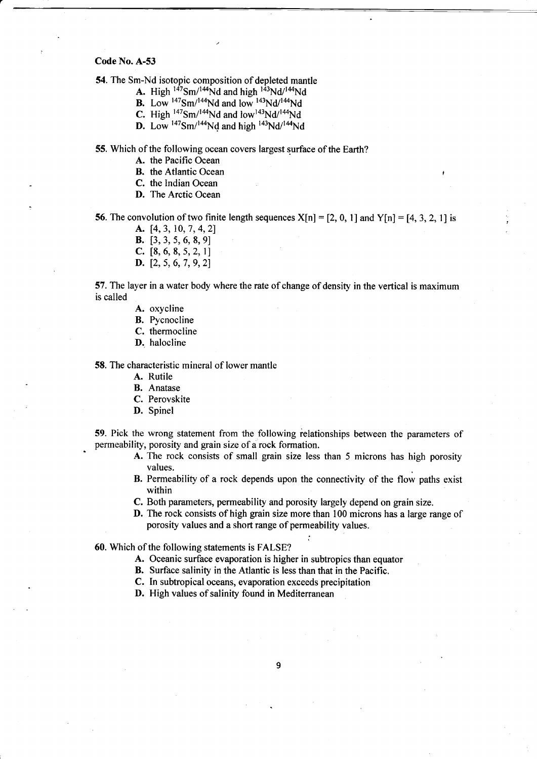54. The Sm-Nd isotopic composition of depleted mantle

- **A.** High  $147Sm/144Nd$  and high  $143Nd/144Nd$
- **B.** Low  $^{147}$ Sm<sup> $/144$ </sup>Nd and low  $^{143}$ Nd<sup> $/144$ </sup>Nd
- **C.** High  $^{147}Sm/^{144}Nd$  and low  $^{143}Nd/^{144}Nd$
- **D.** Low  $^{147}Sm/^{144}Nd$  and high  $^{143}Nd/^{144}Nd$

55. Which of the following ocean covers largest surface of the Earth?

- A. the Pacific Ocean
- B. the Atlantic Ocean
- C. the Indian Ocean
- D. The Arctic Ocean

56. The convolution of two finite length sequences  $X[n] = [2, 0, 1]$  and  $Y[n] = [4, 3, 2, 1]$  is

- A. [4, 3, 10, 7, 4, 2]
- **B.** [3, 3, 5, 6, 8, 9]
- C.  $[8, 6, 8, 5, 2, 1]$
- D. [2, 5, 6, 7, 9, 2]

57. The layer in a water body where the rate of change of density in the vertical is maximum is called

- A. oxycline
- B. Pycnocline
- C. thermocline
- D. halocline

58. The characteristic mineral of lower mantle

- A. Rutile
- B. Anatase
- C. Perovskite
- D. Spinel

59. Pick the wrong statement from the following ielationships between the parameters of permeability, porosity and grain size of a rock formation.

- A. The rock consists of small grain size less than 5 microns has high porosity values.
- B. Permeability of a rock depends upon the connectivity of the flow paths exist within
- C. Both parameters, permeability and porosity largely depend on grain size.
- D. The rock consists of high grain size more than 100 microns has a large range of porosity values and a short range of permeability values.

60. Which of the following statements is FALSE?

- A. Oceanic surface evaporation is higher in subtropics than equator
- B. Surface salinity in the Atlantic is less than that in the Pacific.
- C. In subtropical oceans, evaporation exceeds precipitation
- D. High values of salinity found in Mediterranean

9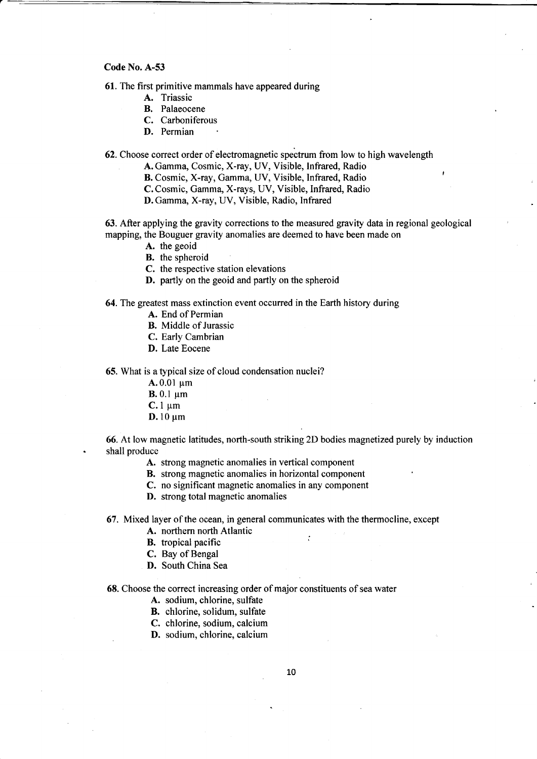61. The first primitive mammals have appeared during

- A. Triassic
- B. Palaeocene
- C. Carboniferous
- D. Permian

62. Choose correct order of electromagnetic spectrum from low to high wavelength

A. Gamma, Cosmic, X-ray, UV, Visible, Infrared, Radio

B. Cosmic, X-ray, Gamma, UV, Visible, Infrared, Radio

C.Cosmic, Gamma, X-rays, UV, Visible, Infrared, Radio

D. Gamma, X-ray, UV, Visible, Radio, Infrared

63. After applying the gravity corrections to the measured gravity data in regional geological mapping, the Bouguer gravity anomalies are deemed to have been made on

A. the geoid

B. the spheroid

C. the respective station elevations

D. partly on the geoid and partly on the spheroid

### 64. The greatest mass extinction event occurred in the Earth history during

- A. End of Permian
- B. Middle of Jurassic
- C. Early Cambrian
- D. Late Eocene

65. What is a typical size of cloud condensation nuclei?

 $A.0.01 \text{ µm}$ 

 $B. 0.1 \mu m$ 

 $C.1 \mu m$ 

 $D.10 \mu m$ 

66. Atlow magnetic latitudes, north-south striking 2D bodies magnetized purely by induction shall produce

- A. strong magnetic anomalies in vertical component
- B. strong magnetic anomalies in horizontal component
- C. no significant magnetic anomalies in any component
- D. strong total magnetic anomalies

67. Mixed layer of the ocean, in general communicates with the thermocline, except

- A. northern north Atlantic
- $\mathbf{B}$ , tropical pacific  $\mathbf{B}$
- C. Bay of Bengal
- D. South China Sea

68. Choose the correct increasing order of major constituents of sea water

- A. sodium, chlorine, sulfate
- B. chlorine, solidum, sulfate
- C. chlorine, sodium, calcium
- D. sodium, chlorine, calcium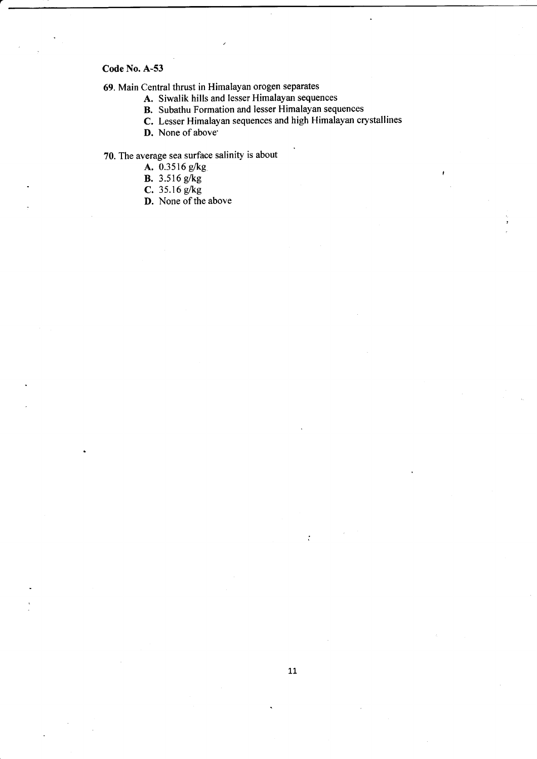69. Main Central thrust in Himalayan orogen separates

- A. Siwalik hills and lesser Himalayan sequences
- B. Subathu Formation and lesser Himalayan sequences
- C. Lesser Himalayan sequences and high Himalayan crystallines
- D. None of above'

70. The average sea surface salinity is about

- A. 0.3516 e/kg
- B. 3.516 g/kg
- **C.** 35.16  $g/kg$
- D. None of the above